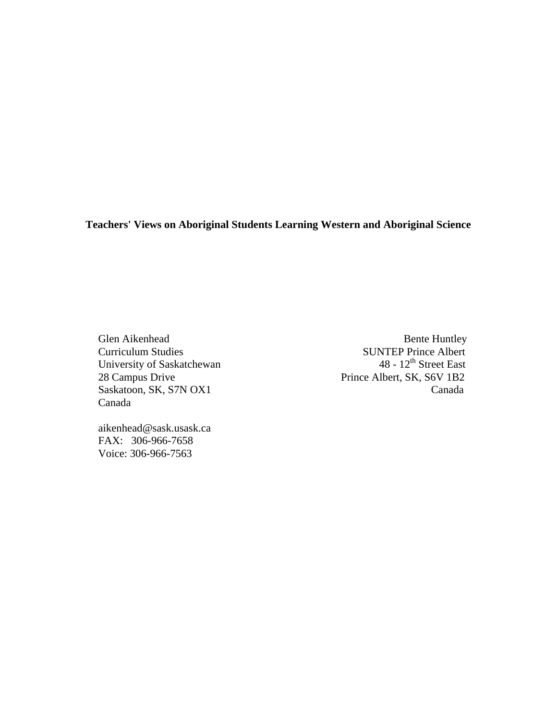**Teachers' Views on Aboriginal Students Learning Western and Aboriginal Science**

University of Saskatchewan<br>28 Campus Drive Canada

Glen Aikenhead Bente Huntley Curriculum Studies<br>
University of Saskatchewan<br>
18 - 12<sup>th</sup> Street East Prince Albert, SK, S6V 1B2 Saskatoon, SK, S7N OX1 Canada

 aikenhead@sask.usask.ca FAX: 306-966-7658 Voice: 306-966-7563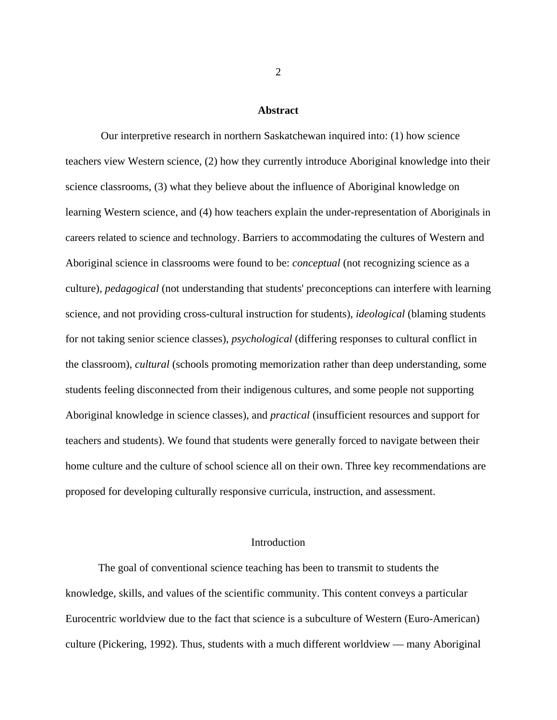#### **Abstract**

 Our interpretive research in northern Saskatchewan inquired into: (1) how science teachers view Western science, (2) how they currently introduce Aboriginal knowledge into their science classrooms, (3) what they believe about the influence of Aboriginal knowledge on learning Western science, and (4) how teachers explain the under-representation of Aboriginals in careers related to science and technology. Barriers to accommodating the cultures of Western and Aboriginal science in classrooms were found to be: *conceptual* (not recognizing science as a culture), *pedagogical* (not understanding that students' preconceptions can interfere with learning science, and not providing cross-cultural instruction for students), *ideological* (blaming students for not taking senior science classes), *psychological* (differing responses to cultural conflict in the classroom), *cultural* (schools promoting memorization rather than deep understanding, some students feeling disconnected from their indigenous cultures, and some people not supporting Aboriginal knowledge in science classes), and *practical* (insufficient resources and support for teachers and students). We found that students were generally forced to navigate between their home culture and the culture of school science all on their own. Three key recommendations are proposed for developing culturally responsive curricula, instruction, and assessment.

# Introduction

 The goal of conventional science teaching has been to transmit to students the knowledge, skills, and values of the scientific community. This content conveys a particular Eurocentric worldview due to the fact that science is a subculture of Western (Euro-American) culture (Pickering, 1992). Thus, students with a much different worldview — many Aboriginal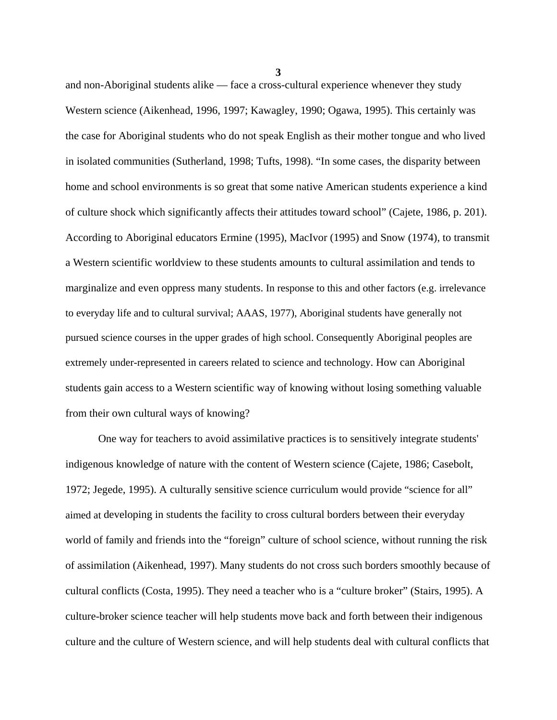and non-Aboriginal students alike — face a cross-cultural experience whenever they study Western science (Aikenhead, 1996, 1997; Kawagley, 1990; Ogawa, 1995). This certainly was the case for Aboriginal students who do not speak English as their mother tongue and who lived in isolated communities (Sutherland, 1998; Tufts, 1998). "In some cases, the disparity between home and school environments is so great that some native American students experience a kind of culture shock which significantly affects their attitudes toward school" (Cajete, 1986, p. 201). According to Aboriginal educators Ermine (1995), MacIvor (1995) and Snow (1974), to transmit a Western scientific worldview to these students amounts to cultural assimilation and tends to marginalize and even oppress many students. In response to this and other factors (e.g. irrelevance to everyday life and to cultural survival; AAAS, 1977), Aboriginal students have generally not pursued science courses in the upper grades of high school. Consequently Aboriginal peoples are extremely under-represented in careers related to science and technology. How can Aboriginal students gain access to a Western scientific way of knowing without losing something valuable from their own cultural ways of knowing?

 One way for teachers to avoid assimilative practices is to sensitively integrate students' indigenous knowledge of nature with the content of Western science (Cajete, 1986; Casebolt, 1972; Jegede, 1995). A culturally sensitive science curriculum would provide "science for all" aimed at developing in students the facility to cross cultural borders between their everyday world of family and friends into the "foreign" culture of school science, without running the risk of assimilation (Aikenhead, 1997). Many students do not cross such borders smoothly because of cultural conflicts (Costa, 1995). They need a teacher who is a "culture broker" (Stairs, 1995). A culture-broker science teacher will help students move back and forth between their indigenous culture and the culture of Western science, and will help students deal with cultural conflicts that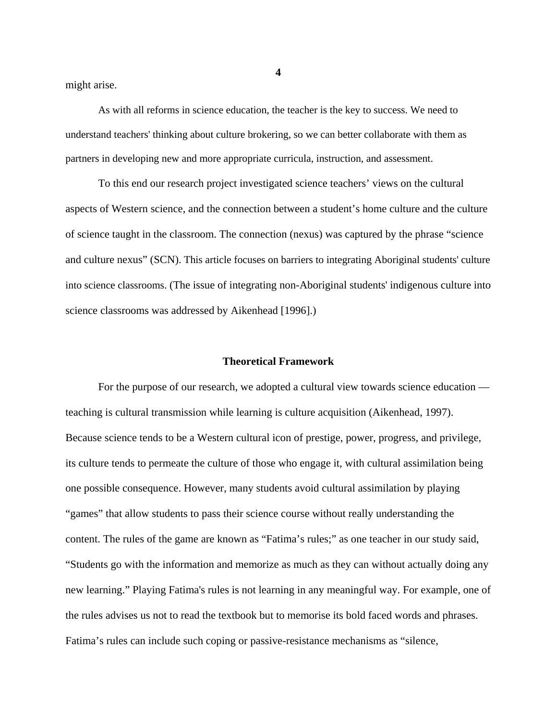might arise.

 As with all reforms in science education, the teacher is the key to success. We need to understand teachers' thinking about culture brokering, so we can better collaborate with them as partners in developing new and more appropriate curricula, instruction, and assessment.

 To this end our research project investigated science teachers' views on the cultural aspects of Western science, and the connection between a student's home culture and the culture of science taught in the classroom. The connection (nexus) was captured by the phrase "science and culture nexus" (SCN). This article focuses on barriers to integrating Aboriginal students' culture into science classrooms. (The issue of integrating non-Aboriginal students' indigenous culture into science classrooms was addressed by Aikenhead [1996].)

### **Theoretical Framework**

 For the purpose of our research, we adopted a cultural view towards science education teaching is cultural transmission while learning is culture acquisition (Aikenhead, 1997). Because science tends to be a Western cultural icon of prestige, power, progress, and privilege, its culture tends to permeate the culture of those who engage it, with cultural assimilation being one possible consequence. However, many students avoid cultural assimilation by playing "games" that allow students to pass their science course without really understanding the content. The rules of the game are known as "Fatima's rules;" as one teacher in our study said, "Students go with the information and memorize as much as they can without actually doing any new learning." Playing Fatima's rules is not learning in any meaningful way. For example, one of the rules advises us not to read the textbook but to memorise its bold faced words and phrases. Fatima's rules can include such coping or passive-resistance mechanisms as "silence,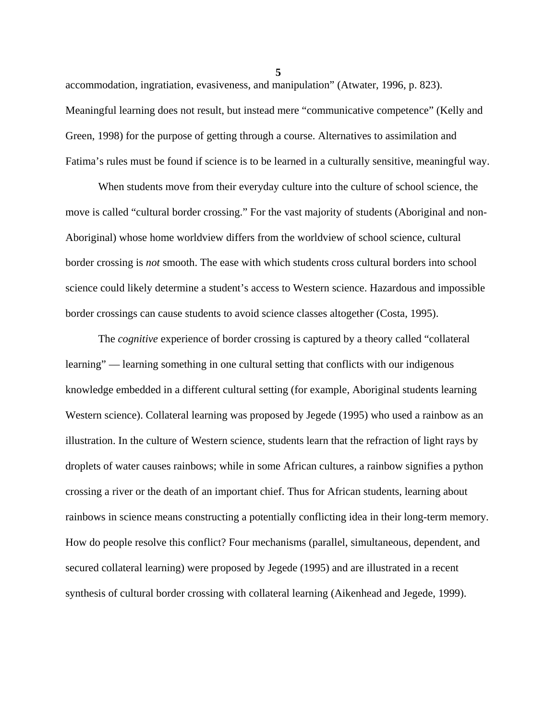accommodation, ingratiation, evasiveness, and manipulation" (Atwater, 1996, p. 823). Meaningful learning does not result, but instead mere "communicative competence" (Kelly and Green, 1998) for the purpose of getting through a course. Alternatives to assimilation and Fatima's rules must be found if science is to be learned in a culturally sensitive, meaningful way.

 When students move from their everyday culture into the culture of school science, the move is called "cultural border crossing." For the vast majority of students (Aboriginal and non-Aboriginal) whose home worldview differs from the worldview of school science, cultural border crossing is *not* smooth. The ease with which students cross cultural borders into school science could likely determine a student's access to Western science. Hazardous and impossible border crossings can cause students to avoid science classes altogether (Costa, 1995).

 The *cognitive* experience of border crossing is captured by a theory called "collateral learning" — learning something in one cultural setting that conflicts with our indigenous knowledge embedded in a different cultural setting (for example, Aboriginal students learning Western science). Collateral learning was proposed by Jegede (1995) who used a rainbow as an illustration. In the culture of Western science, students learn that the refraction of light rays by droplets of water causes rainbows; while in some African cultures, a rainbow signifies a python crossing a river or the death of an important chief. Thus for African students, learning about rainbows in science means constructing a potentially conflicting idea in their long-term memory. How do people resolve this conflict? Four mechanisms (parallel, simultaneous, dependent, and secured collateral learning) were proposed by Jegede (1995) and are illustrated in a recent synthesis of cultural border crossing with collateral learning (Aikenhead and Jegede, 1999).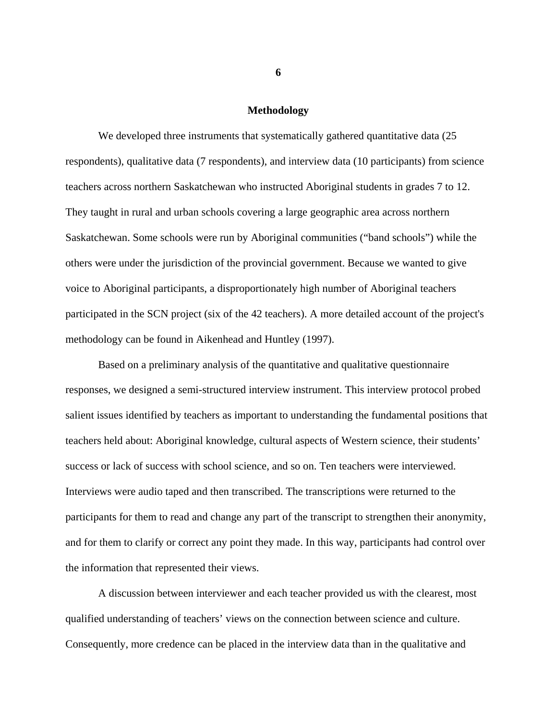#### **Methodology**

We developed three instruments that systematically gathered quantitative data (25) respondents), qualitative data (7 respondents), and interview data (10 participants) from science teachers across northern Saskatchewan who instructed Aboriginal students in grades 7 to 12. They taught in rural and urban schools covering a large geographic area across northern Saskatchewan. Some schools were run by Aboriginal communities ("band schools") while the others were under the jurisdiction of the provincial government. Because we wanted to give voice to Aboriginal participants, a disproportionately high number of Aboriginal teachers participated in the SCN project (six of the 42 teachers). A more detailed account of the project's methodology can be found in Aikenhead and Huntley (1997).

 Based on a preliminary analysis of the quantitative and qualitative questionnaire responses, we designed a semi-structured interview instrument. This interview protocol probed salient issues identified by teachers as important to understanding the fundamental positions that teachers held about: Aboriginal knowledge, cultural aspects of Western science, their students' success or lack of success with school science, and so on. Ten teachers were interviewed. Interviews were audio taped and then transcribed. The transcriptions were returned to the participants for them to read and change any part of the transcript to strengthen their anonymity, and for them to clarify or correct any point they made. In this way, participants had control over the information that represented their views.

 A discussion between interviewer and each teacher provided us with the clearest, most qualified understanding of teachers' views on the connection between science and culture. Consequently, more credence can be placed in the interview data than in the qualitative and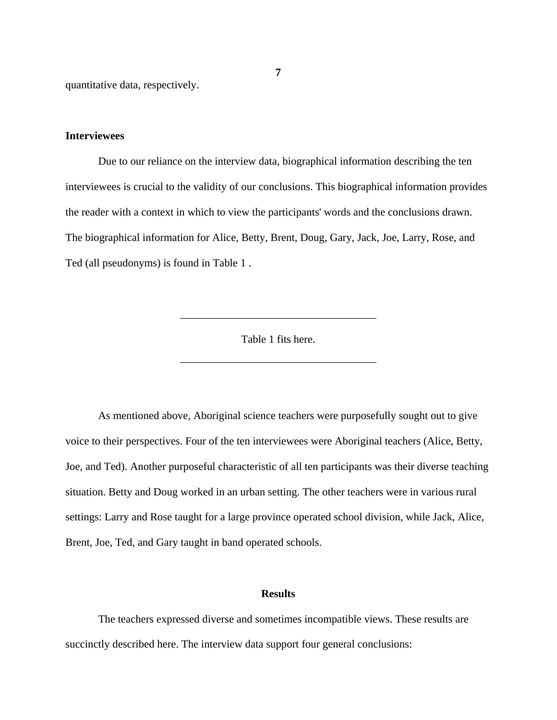quantitative data, respectively.

## **Interviewees**

 Due to our reliance on the interview data, biographical information describing the ten interviewees is crucial to the validity of our conclusions. This biographical information provides the reader with a context in which to view the participants' words and the conclusions drawn. The biographical information for Alice, Betty, Brent, Doug, Gary, Jack, Joe, Larry, Rose, and Ted (all pseudonyms) is found in Table 1 .

Table 1 fits here.

\_\_\_\_\_\_\_\_\_\_\_\_\_\_\_\_\_\_\_\_\_\_\_\_\_\_\_\_\_\_\_\_\_\_\_\_

\_\_\_\_\_\_\_\_\_\_\_\_\_\_\_\_\_\_\_\_\_\_\_\_\_\_\_\_\_\_\_\_\_\_\_\_

 As mentioned above, Aboriginal science teachers were purposefully sought out to give voice to their perspectives. Four of the ten interviewees were Aboriginal teachers (Alice, Betty, Joe, and Ted). Another purposeful characteristic of all ten participants was their diverse teaching situation. Betty and Doug worked in an urban setting. The other teachers were in various rural settings: Larry and Rose taught for a large province operated school division, while Jack, Alice, Brent, Joe, Ted, and Gary taught in band operated schools.

### **Results**

 The teachers expressed diverse and sometimes incompatible views. These results are succinctly described here. The interview data support four general conclusions: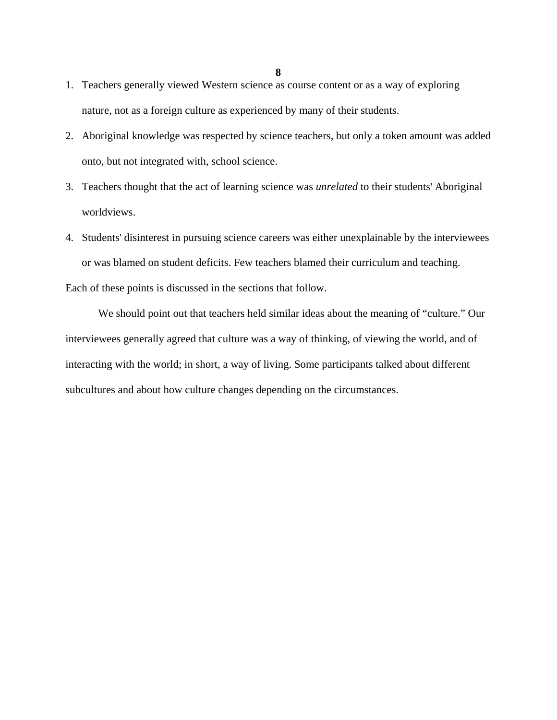- 1. Teachers generally viewed Western science as course content or as a way of exploring nature, not as a foreign culture as experienced by many of their students.
- 2. Aboriginal knowledge was respected by science teachers, but only a token amount was added onto, but not integrated with, school science.
- 3. Teachers thought that the act of learning science was *unrelated* to their students' Aboriginal worldviews.
- 4. Students' disinterest in pursuing science careers was either unexplainable by the interviewees or was blamed on student deficits. Few teachers blamed their curriculum and teaching.

Each of these points is discussed in the sections that follow.

 We should point out that teachers held similar ideas about the meaning of "culture." Our interviewees generally agreed that culture was a way of thinking, of viewing the world, and of interacting with the world; in short, a way of living. Some participants talked about different subcultures and about how culture changes depending on the circumstances.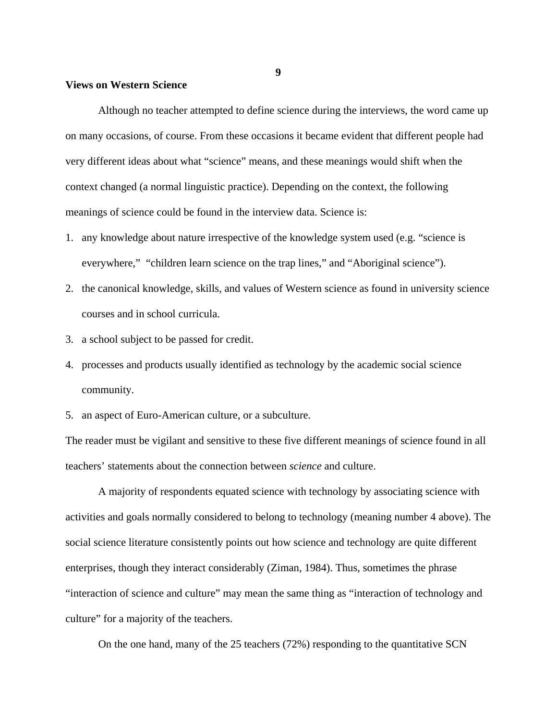## **Views on Western Science**

 Although no teacher attempted to define science during the interviews, the word came up on many occasions, of course. From these occasions it became evident that different people had very different ideas about what "science" means, and these meanings would shift when the context changed (a normal linguistic practice). Depending on the context, the following meanings of science could be found in the interview data. Science is:

- 1. any knowledge about nature irrespective of the knowledge system used (e.g. "science is everywhere," "children learn science on the trap lines," and "Aboriginal science").
- 2. the canonical knowledge, skills, and values of Western science as found in university science courses and in school curricula.
- 3. a school subject to be passed for credit.
- 4. processes and products usually identified as technology by the academic social science community.
- 5. an aspect of Euro-American culture, or a subculture.

The reader must be vigilant and sensitive to these five different meanings of science found in all teachers' statements about the connection between *science* and culture.

 A majority of respondents equated science with technology by associating science with activities and goals normally considered to belong to technology (meaning number 4 above). The social science literature consistently points out how science and technology are quite different enterprises, though they interact considerably (Ziman, 1984). Thus, sometimes the phrase "interaction of science and culture" may mean the same thing as "interaction of technology and culture" for a majority of the teachers.

On the one hand, many of the 25 teachers (72%) responding to the quantitative SCN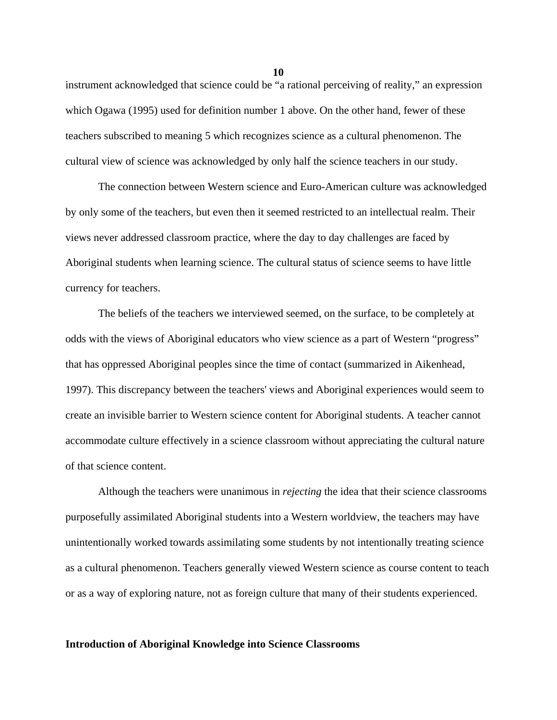instrument acknowledged that science could be "a rational perceiving of reality," an expression which Ogawa (1995) used for definition number 1 above. On the other hand, fewer of these teachers subscribed to meaning 5 which recognizes science as a cultural phenomenon. The cultural view of science was acknowledged by only half the science teachers in our study.

 The connection between Western science and Euro-American culture was acknowledged by only some of the teachers, but even then it seemed restricted to an intellectual realm. Their views never addressed classroom practice, where the day to day challenges are faced by Aboriginal students when learning science. The cultural status of science seems to have little currency for teachers.

 The beliefs of the teachers we interviewed seemed, on the surface, to be completely at odds with the views of Aboriginal educators who view science as a part of Western "progress" that has oppressed Aboriginal peoples since the time of contact (summarized in Aikenhead, 1997). This discrepancy between the teachers' views and Aboriginal experiences would seem to create an invisible barrier to Western science content for Aboriginal students. A teacher cannot accommodate culture effectively in a science classroom without appreciating the cultural nature of that science content.

 Although the teachers were unanimous in *rejecting* the idea that their science classrooms purposefully assimilated Aboriginal students into a Western worldview, the teachers may have unintentionally worked towards assimilating some students by not intentionally treating science as a cultural phenomenon. Teachers generally viewed Western science as course content to teach or as a way of exploring nature, not as foreign culture that many of their students experienced.

### **Introduction of Aboriginal Knowledge into Science Classrooms**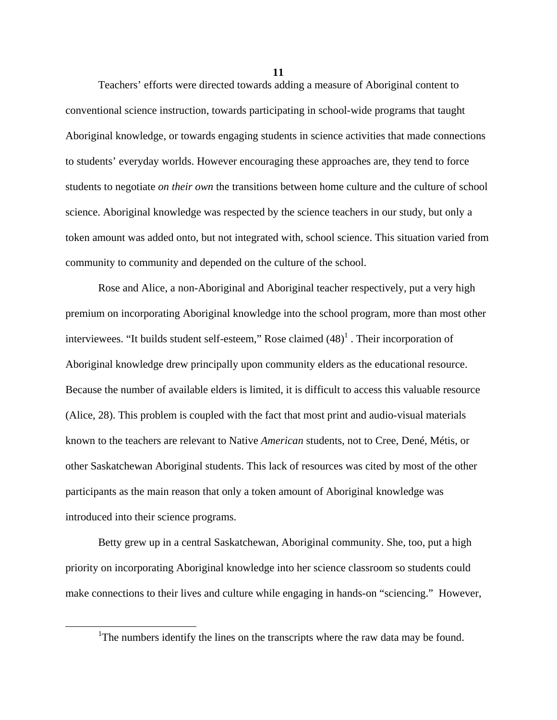**11**

 Teachers' efforts were directed towards adding a measure of Aboriginal content to conventional science instruction, towards participating in school-wide programs that taught Aboriginal knowledge, or towards engaging students in science activities that made connections to students' everyday worlds. However encouraging these approaches are, they tend to force students to negotiate *on their own* the transitions between home culture and the culture of school science. Aboriginal knowledge was respected by the science teachers in our study, but only a token amount was added onto, but not integrated with, school science. This situation varied from community to community and depended on the culture of the school.

 Rose and Alice, a non-Aboriginal and Aboriginal teacher respectively, put a very high premium on incorporating Aboriginal knowledge into the school program, more than most other interviewees. "It builds student self-esteem," Rose claimed  $(48)^1$ . Their incorporation of Aboriginal knowledge drew principally upon community elders as the educational resource. Because the number of available elders is limited, it is difficult to access this valuable resource (Alice, 28). This problem is coupled with the fact that most print and audio-visual materials known to the teachers are relevant to Native *American* students, not to Cree, Dené, Métis, or other Saskatchewan Aboriginal students. This lack of resources was cited by most of the other participants as the main reason that only a token amount of Aboriginal knowledge was introduced into their science programs.

 Betty grew up in a central Saskatchewan, Aboriginal community. She, too, put a high priority on incorporating Aboriginal knowledge into her science classroom so students could make connections to their lives and culture while engaging in hands-on "sciencing." However,

<sup>&</sup>lt;u>1</u> <sup>1</sup>The numbers identify the lines on the transcripts where the raw data may be found.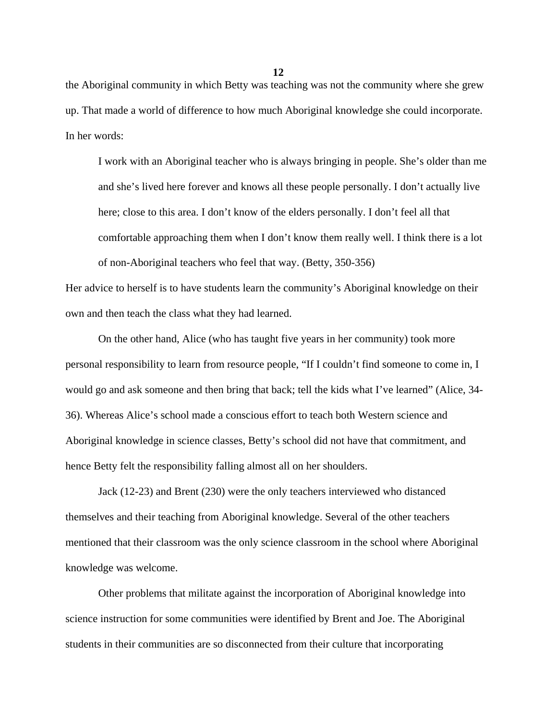the Aboriginal community in which Betty was teaching was not the community where she grew up. That made a world of difference to how much Aboriginal knowledge she could incorporate. In her words:

I work with an Aboriginal teacher who is always bringing in people. She's older than me and she's lived here forever and knows all these people personally. I don't actually live here; close to this area. I don't know of the elders personally. I don't feel all that comfortable approaching them when I don't know them really well. I think there is a lot of non-Aboriginal teachers who feel that way. (Betty, 350-356)

Her advice to herself is to have students learn the community's Aboriginal knowledge on their own and then teach the class what they had learned.

 On the other hand, Alice (who has taught five years in her community) took more personal responsibility to learn from resource people, "If I couldn't find someone to come in, I would go and ask someone and then bring that back; tell the kids what I've learned" (Alice, 34- 36). Whereas Alice's school made a conscious effort to teach both Western science and Aboriginal knowledge in science classes, Betty's school did not have that commitment, and hence Betty felt the responsibility falling almost all on her shoulders.

 Jack (12-23) and Brent (230) were the only teachers interviewed who distanced themselves and their teaching from Aboriginal knowledge. Several of the other teachers mentioned that their classroom was the only science classroom in the school where Aboriginal knowledge was welcome.

 Other problems that militate against the incorporation of Aboriginal knowledge into science instruction for some communities were identified by Brent and Joe. The Aboriginal students in their communities are so disconnected from their culture that incorporating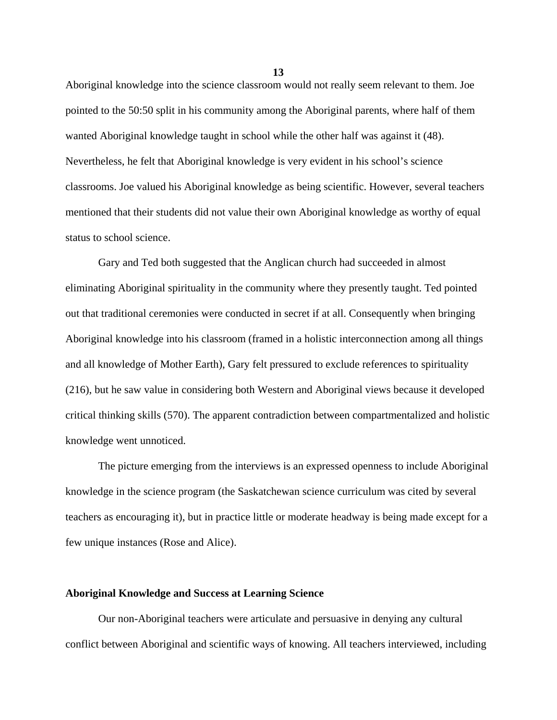Aboriginal knowledge into the science classroom would not really seem relevant to them. Joe pointed to the 50:50 split in his community among the Aboriginal parents, where half of them wanted Aboriginal knowledge taught in school while the other half was against it (48). Nevertheless, he felt that Aboriginal knowledge is very evident in his school's science classrooms. Joe valued his Aboriginal knowledge as being scientific. However, several teachers mentioned that their students did not value their own Aboriginal knowledge as worthy of equal status to school science.

 Gary and Ted both suggested that the Anglican church had succeeded in almost eliminating Aboriginal spirituality in the community where they presently taught. Ted pointed out that traditional ceremonies were conducted in secret if at all. Consequently when bringing Aboriginal knowledge into his classroom (framed in a holistic interconnection among all things and all knowledge of Mother Earth), Gary felt pressured to exclude references to spirituality (216), but he saw value in considering both Western and Aboriginal views because it developed critical thinking skills (570). The apparent contradiction between compartmentalized and holistic knowledge went unnoticed.

 The picture emerging from the interviews is an expressed openness to include Aboriginal knowledge in the science program (the Saskatchewan science curriculum was cited by several teachers as encouraging it), but in practice little or moderate headway is being made except for a few unique instances (Rose and Alice).

## **Aboriginal Knowledge and Success at Learning Science**

 Our non-Aboriginal teachers were articulate and persuasive in denying any cultural conflict between Aboriginal and scientific ways of knowing. All teachers interviewed, including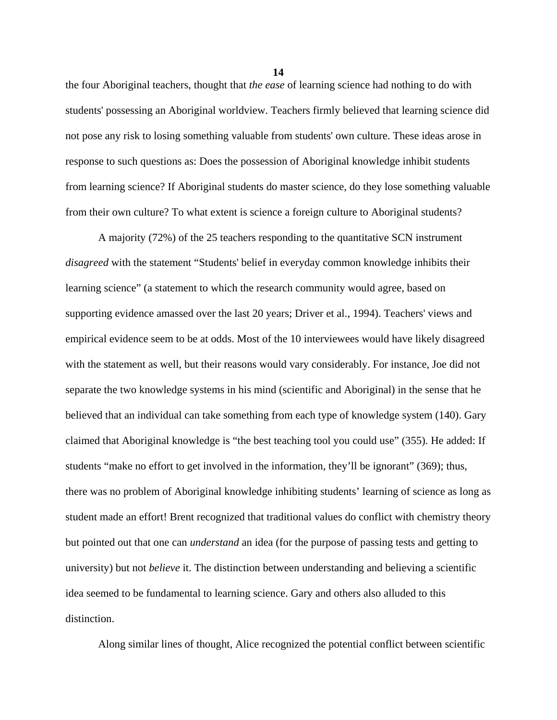the four Aboriginal teachers, thought that *the ease* of learning science had nothing to do with students' possessing an Aboriginal worldview. Teachers firmly believed that learning science did not pose any risk to losing something valuable from students' own culture. These ideas arose in response to such questions as: Does the possession of Aboriginal knowledge inhibit students from learning science? If Aboriginal students do master science, do they lose something valuable from their own culture? To what extent is science a foreign culture to Aboriginal students?

 A majority (72%) of the 25 teachers responding to the quantitative SCN instrument *disagreed* with the statement "Students' belief in everyday common knowledge inhibits their learning science" (a statement to which the research community would agree, based on supporting evidence amassed over the last 20 years; Driver et al., 1994). Teachers' views and empirical evidence seem to be at odds. Most of the 10 interviewees would have likely disagreed with the statement as well, but their reasons would vary considerably. For instance, Joe did not separate the two knowledge systems in his mind (scientific and Aboriginal) in the sense that he believed that an individual can take something from each type of knowledge system (140). Gary claimed that Aboriginal knowledge is "the best teaching tool you could use" (355). He added: If students "make no effort to get involved in the information, they'll be ignorant" (369); thus, there was no problem of Aboriginal knowledge inhibiting students' learning of science as long as student made an effort! Brent recognized that traditional values do conflict with chemistry theory but pointed out that one can *understand* an idea (for the purpose of passing tests and getting to university) but not *believe* it. The distinction between understanding and believing a scientific idea seemed to be fundamental to learning science. Gary and others also alluded to this distinction.

Along similar lines of thought, Alice recognized the potential conflict between scientific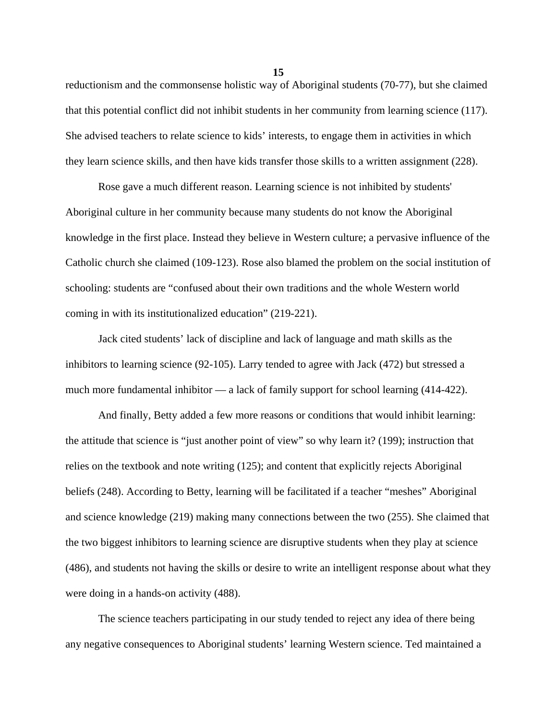reductionism and the commonsense holistic way of Aboriginal students (70-77), but she claimed that this potential conflict did not inhibit students in her community from learning science (117). She advised teachers to relate science to kids' interests, to engage them in activities in which they learn science skills, and then have kids transfer those skills to a written assignment (228).

 Rose gave a much different reason. Learning science is not inhibited by students' Aboriginal culture in her community because many students do not know the Aboriginal knowledge in the first place. Instead they believe in Western culture; a pervasive influence of the Catholic church she claimed (109-123). Rose also blamed the problem on the social institution of schooling: students are "confused about their own traditions and the whole Western world coming in with its institutionalized education" (219-221).

 Jack cited students' lack of discipline and lack of language and math skills as the inhibitors to learning science (92-105). Larry tended to agree with Jack (472) but stressed a much more fundamental inhibitor — a lack of family support for school learning (414-422).

 And finally, Betty added a few more reasons or conditions that would inhibit learning: the attitude that science is "just another point of view" so why learn it? (199); instruction that relies on the textbook and note writing (125); and content that explicitly rejects Aboriginal beliefs (248). According to Betty, learning will be facilitated if a teacher "meshes" Aboriginal and science knowledge (219) making many connections between the two (255). She claimed that the two biggest inhibitors to learning science are disruptive students when they play at science (486), and students not having the skills or desire to write an intelligent response about what they were doing in a hands-on activity (488).

 The science teachers participating in our study tended to reject any idea of there being any negative consequences to Aboriginal students' learning Western science. Ted maintained a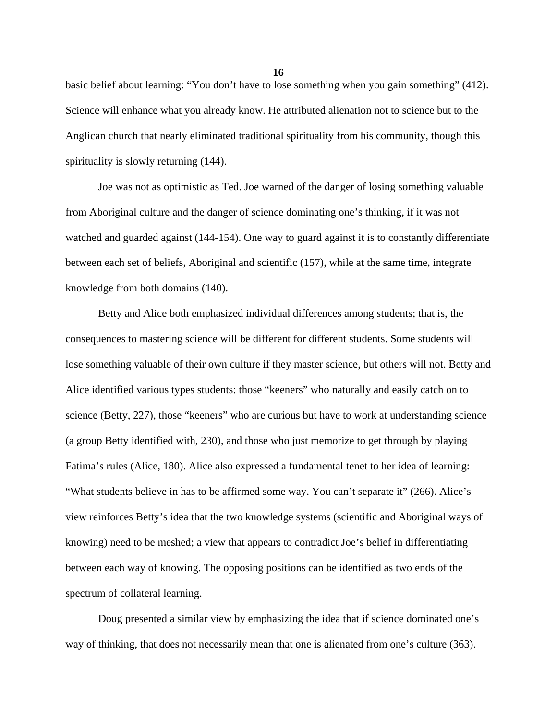basic belief about learning: "You don't have to lose something when you gain something" (412). Science will enhance what you already know. He attributed alienation not to science but to the Anglican church that nearly eliminated traditional spirituality from his community, though this spirituality is slowly returning  $(144)$ .

 Joe was not as optimistic as Ted. Joe warned of the danger of losing something valuable from Aboriginal culture and the danger of science dominating one's thinking, if it was not watched and guarded against (144-154). One way to guard against it is to constantly differentiate between each set of beliefs, Aboriginal and scientific (157), while at the same time, integrate knowledge from both domains (140).

 Betty and Alice both emphasized individual differences among students; that is, the consequences to mastering science will be different for different students. Some students will lose something valuable of their own culture if they master science, but others will not. Betty and Alice identified various types students: those "keeners" who naturally and easily catch on to science (Betty, 227), those "keeners" who are curious but have to work at understanding science (a group Betty identified with, 230), and those who just memorize to get through by playing Fatima's rules (Alice, 180). Alice also expressed a fundamental tenet to her idea of learning: "What students believe in has to be affirmed some way. You can't separate it" (266). Alice's view reinforces Betty's idea that the two knowledge systems (scientific and Aboriginal ways of knowing) need to be meshed; a view that appears to contradict Joe's belief in differentiating between each way of knowing. The opposing positions can be identified as two ends of the spectrum of collateral learning.

 Doug presented a similar view by emphasizing the idea that if science dominated one's way of thinking, that does not necessarily mean that one is alienated from one's culture (363).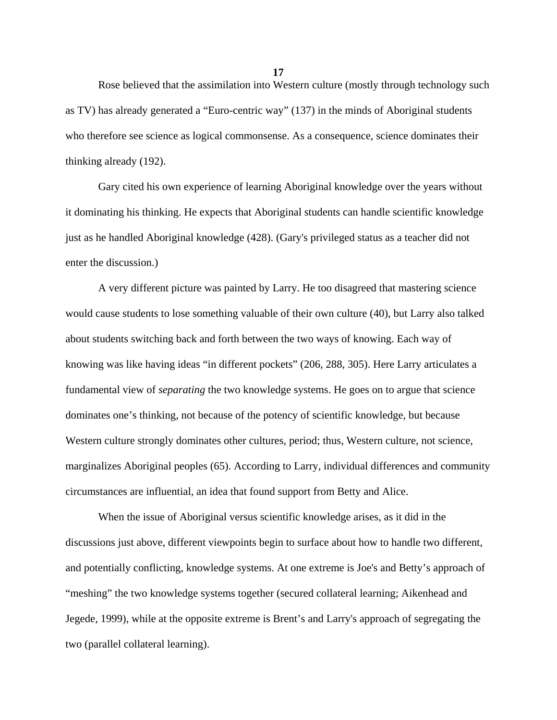Rose believed that the assimilation into Western culture (mostly through technology such as TV) has already generated a "Euro-centric way" (137) in the minds of Aboriginal students who therefore see science as logical commonsense. As a consequence, science dominates their thinking already (192).

 Gary cited his own experience of learning Aboriginal knowledge over the years without it dominating his thinking. He expects that Aboriginal students can handle scientific knowledge just as he handled Aboriginal knowledge (428). (Gary's privileged status as a teacher did not enter the discussion.)

 A very different picture was painted by Larry. He too disagreed that mastering science would cause students to lose something valuable of their own culture (40), but Larry also talked about students switching back and forth between the two ways of knowing. Each way of knowing was like having ideas "in different pockets" (206, 288, 305). Here Larry articulates a fundamental view of *separating* the two knowledge systems. He goes on to argue that science dominates one's thinking, not because of the potency of scientific knowledge, but because Western culture strongly dominates other cultures, period; thus, Western culture, not science, marginalizes Aboriginal peoples (65). According to Larry, individual differences and community circumstances are influential, an idea that found support from Betty and Alice.

 When the issue of Aboriginal versus scientific knowledge arises, as it did in the discussions just above, different viewpoints begin to surface about how to handle two different, and potentially conflicting, knowledge systems. At one extreme is Joe's and Betty's approach of "meshing" the two knowledge systems together (secured collateral learning; Aikenhead and Jegede, 1999), while at the opposite extreme is Brent's and Larry's approach of segregating the two (parallel collateral learning).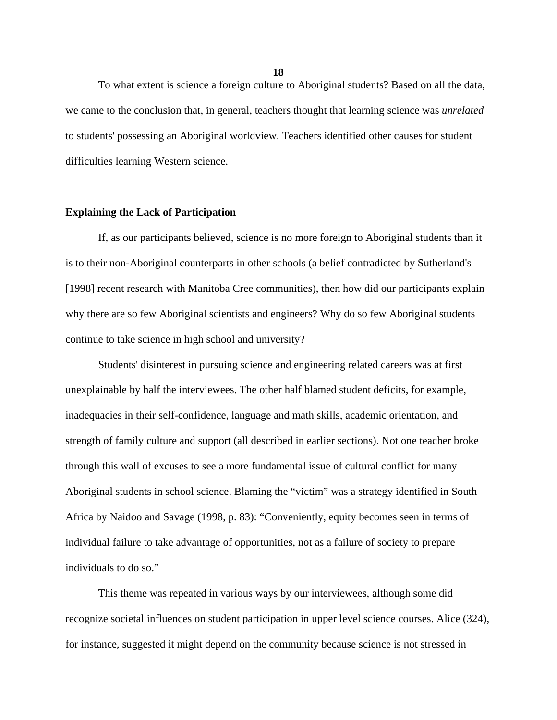To what extent is science a foreign culture to Aboriginal students? Based on all the data, we came to the conclusion that, in general, teachers thought that learning science was *unrelated* to students' possessing an Aboriginal worldview. Teachers identified other causes for student difficulties learning Western science.

### **Explaining the Lack of Participation**

 If, as our participants believed, science is no more foreign to Aboriginal students than it is to their non-Aboriginal counterparts in other schools (a belief contradicted by Sutherland's [1998] recent research with Manitoba Cree communities), then how did our participants explain why there are so few Aboriginal scientists and engineers? Why do so few Aboriginal students continue to take science in high school and university?

 Students' disinterest in pursuing science and engineering related careers was at first unexplainable by half the interviewees. The other half blamed student deficits, for example, inadequacies in their self-confidence, language and math skills, academic orientation, and strength of family culture and support (all described in earlier sections). Not one teacher broke through this wall of excuses to see a more fundamental issue of cultural conflict for many Aboriginal students in school science. Blaming the "victim" was a strategy identified in South Africa by Naidoo and Savage (1998, p. 83): "Conveniently, equity becomes seen in terms of individual failure to take advantage of opportunities, not as a failure of society to prepare individuals to do so."

 This theme was repeated in various ways by our interviewees, although some did recognize societal influences on student participation in upper level science courses. Alice (324), for instance, suggested it might depend on the community because science is not stressed in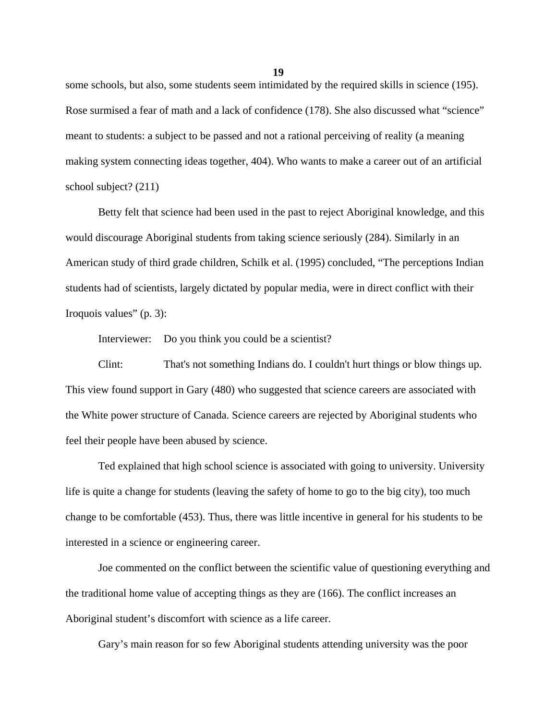some schools, but also, some students seem intimidated by the required skills in science (195). Rose surmised a fear of math and a lack of confidence (178). She also discussed what "science" meant to students: a subject to be passed and not a rational perceiving of reality (a meaning making system connecting ideas together, 404). Who wants to make a career out of an artificial school subject? (211)

 Betty felt that science had been used in the past to reject Aboriginal knowledge, and this would discourage Aboriginal students from taking science seriously (284). Similarly in an American study of third grade children, Schilk et al. (1995) concluded, "The perceptions Indian students had of scientists, largely dictated by popular media, were in direct conflict with their Iroquois values" (p. 3):

Interviewer: Do you think you could be a scientist?

 Clint: That's not something Indians do. I couldn't hurt things or blow things up. This view found support in Gary (480) who suggested that science careers are associated with the White power structure of Canada. Science careers are rejected by Aboriginal students who feel their people have been abused by science.

 Ted explained that high school science is associated with going to university. University life is quite a change for students (leaving the safety of home to go to the big city), too much change to be comfortable (453). Thus, there was little incentive in general for his students to be interested in a science or engineering career.

 Joe commented on the conflict between the scientific value of questioning everything and the traditional home value of accepting things as they are (166). The conflict increases an Aboriginal student's discomfort with science as a life career.

Gary's main reason for so few Aboriginal students attending university was the poor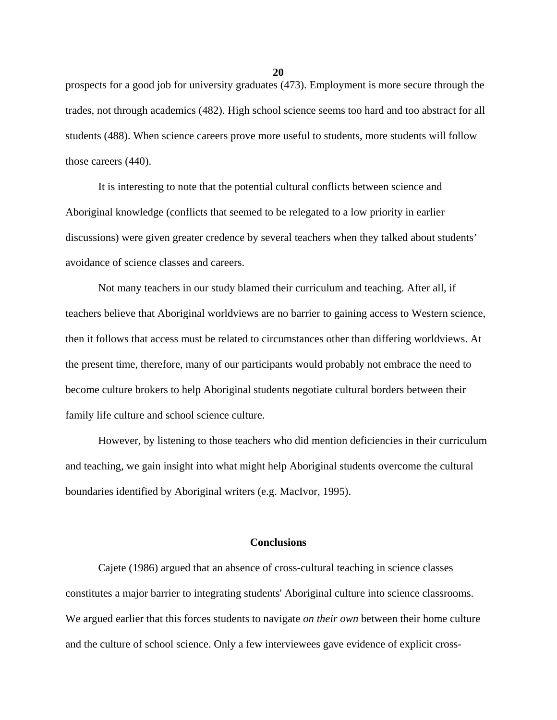prospects for a good job for university graduates (473). Employment is more secure through the trades, not through academics (482). High school science seems too hard and too abstract for all students (488). When science careers prove more useful to students, more students will follow those careers (440).

 It is interesting to note that the potential cultural conflicts between science and Aboriginal knowledge (conflicts that seemed to be relegated to a low priority in earlier discussions) were given greater credence by several teachers when they talked about students' avoidance of science classes and careers.

 Not many teachers in our study blamed their curriculum and teaching. After all, if teachers believe that Aboriginal worldviews are no barrier to gaining access to Western science, then it follows that access must be related to circumstances other than differing worldviews. At the present time, therefore, many of our participants would probably not embrace the need to become culture brokers to help Aboriginal students negotiate cultural borders between their family life culture and school science culture.

 However, by listening to those teachers who did mention deficiencies in their curriculum and teaching, we gain insight into what might help Aboriginal students overcome the cultural boundaries identified by Aboriginal writers (e.g. MacIvor, 1995).

#### **Conclusions**

 Cajete (1986) argued that an absence of cross-cultural teaching in science classes constitutes a major barrier to integrating students' Aboriginal culture into science classrooms. We argued earlier that this forces students to navigate *on their own* between their home culture and the culture of school science. Only a few interviewees gave evidence of explicit cross-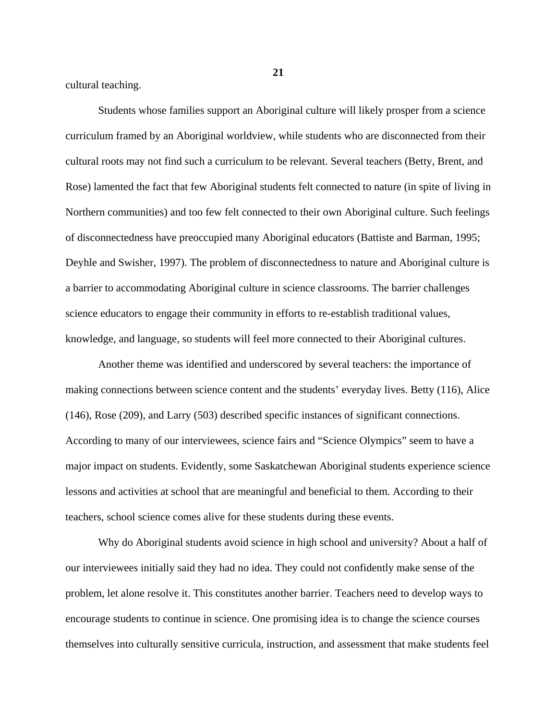cultural teaching.

 Students whose families support an Aboriginal culture will likely prosper from a science curriculum framed by an Aboriginal worldview, while students who are disconnected from their cultural roots may not find such a curriculum to be relevant. Several teachers (Betty, Brent, and Rose) lamented the fact that few Aboriginal students felt connected to nature (in spite of living in Northern communities) and too few felt connected to their own Aboriginal culture. Such feelings of disconnectedness have preoccupied many Aboriginal educators (Battiste and Barman, 1995; Deyhle and Swisher, 1997). The problem of disconnectedness to nature and Aboriginal culture is a barrier to accommodating Aboriginal culture in science classrooms. The barrier challenges science educators to engage their community in efforts to re-establish traditional values, knowledge, and language, so students will feel more connected to their Aboriginal cultures.

 Another theme was identified and underscored by several teachers: the importance of making connections between science content and the students' everyday lives. Betty (116), Alice (146), Rose (209), and Larry (503) described specific instances of significant connections. According to many of our interviewees, science fairs and "Science Olympics" seem to have a major impact on students. Evidently, some Saskatchewan Aboriginal students experience science lessons and activities at school that are meaningful and beneficial to them. According to their teachers, school science comes alive for these students during these events.

 Why do Aboriginal students avoid science in high school and university? About a half of our interviewees initially said they had no idea. They could not confidently make sense of the problem, let alone resolve it. This constitutes another barrier. Teachers need to develop ways to encourage students to continue in science. One promising idea is to change the science courses themselves into culturally sensitive curricula, instruction, and assessment that make students feel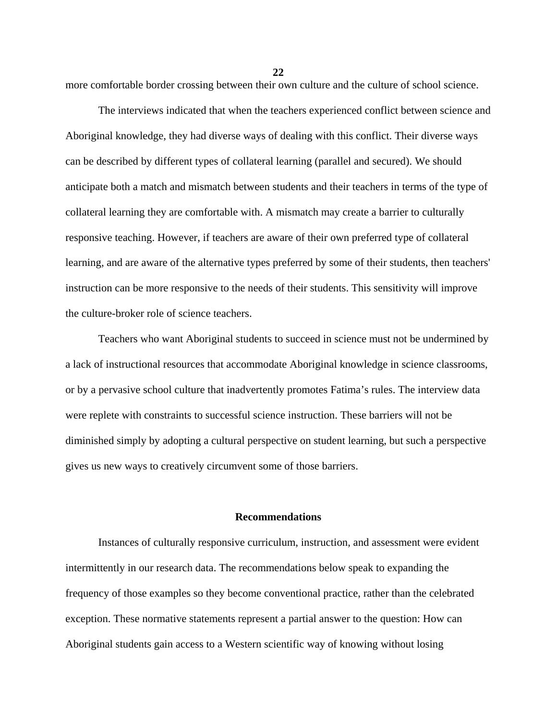**22**

more comfortable border crossing between their own culture and the culture of school science.

 The interviews indicated that when the teachers experienced conflict between science and Aboriginal knowledge, they had diverse ways of dealing with this conflict. Their diverse ways can be described by different types of collateral learning (parallel and secured). We should anticipate both a match and mismatch between students and their teachers in terms of the type of collateral learning they are comfortable with. A mismatch may create a barrier to culturally responsive teaching. However, if teachers are aware of their own preferred type of collateral learning, and are aware of the alternative types preferred by some of their students, then teachers' instruction can be more responsive to the needs of their students. This sensitivity will improve the culture-broker role of science teachers.

 Teachers who want Aboriginal students to succeed in science must not be undermined by a lack of instructional resources that accommodate Aboriginal knowledge in science classrooms, or by a pervasive school culture that inadvertently promotes Fatima's rules. The interview data were replete with constraints to successful science instruction. These barriers will not be diminished simply by adopting a cultural perspective on student learning, but such a perspective gives us new ways to creatively circumvent some of those barriers.

### **Recommendations**

 Instances of culturally responsive curriculum, instruction, and assessment were evident intermittently in our research data. The recommendations below speak to expanding the frequency of those examples so they become conventional practice, rather than the celebrated exception. These normative statements represent a partial answer to the question: How can Aboriginal students gain access to a Western scientific way of knowing without losing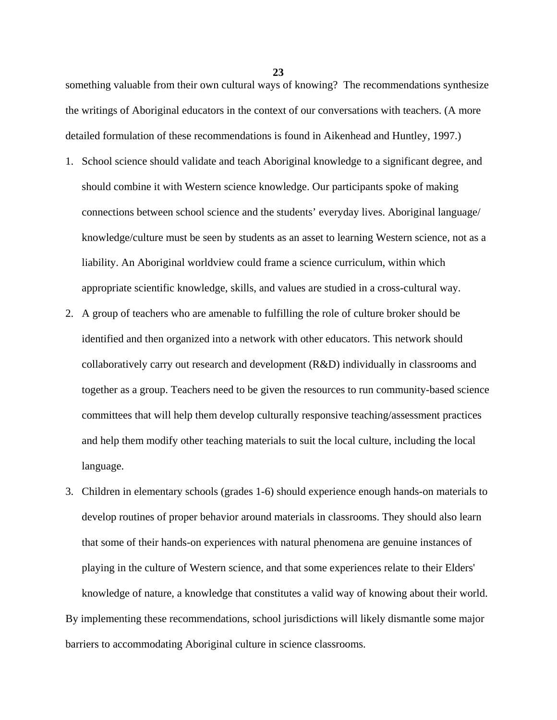something valuable from their own cultural ways of knowing? The recommendations synthesize the writings of Aboriginal educators in the context of our conversations with teachers. (A more detailed formulation of these recommendations is found in Aikenhead and Huntley, 1997.)

- 1. School science should validate and teach Aboriginal knowledge to a significant degree, and should combine it with Western science knowledge. Our participants spoke of making connections between school science and the students' everyday lives. Aboriginal language/ knowledge/culture must be seen by students as an asset to learning Western science, not as a liability. An Aboriginal worldview could frame a science curriculum, within which appropriate scientific knowledge, skills, and values are studied in a cross-cultural way.
- 2. A group of teachers who are amenable to fulfilling the role of culture broker should be identified and then organized into a network with other educators. This network should collaboratively carry out research and development (R&D) individually in classrooms and together as a group. Teachers need to be given the resources to run community-based science committees that will help them develop culturally responsive teaching/assessment practices and help them modify other teaching materials to suit the local culture, including the local language.
- 3. Children in elementary schools (grades 1-6) should experience enough hands-on materials to develop routines of proper behavior around materials in classrooms. They should also learn that some of their hands-on experiences with natural phenomena are genuine instances of playing in the culture of Western science, and that some experiences relate to their Elders' knowledge of nature, a knowledge that constitutes a valid way of knowing about their world. By implementing these recommendations, school jurisdictions will likely dismantle some major barriers to accommodating Aboriginal culture in science classrooms.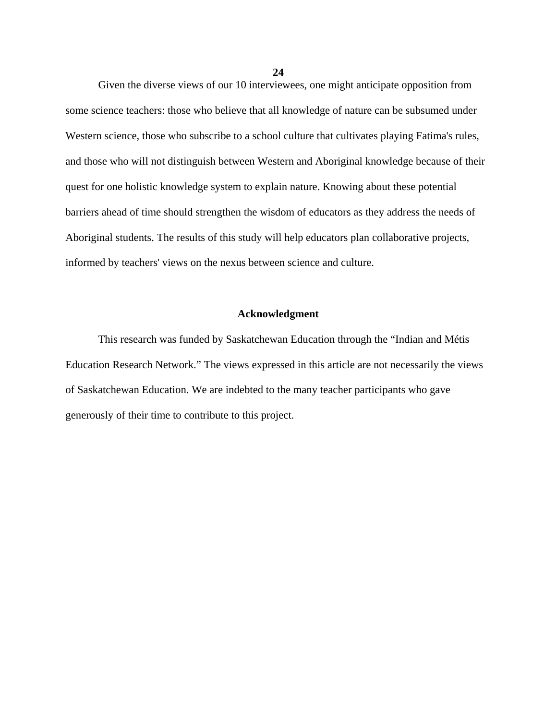Given the diverse views of our 10 interviewees, one might anticipate opposition from some science teachers: those who believe that all knowledge of nature can be subsumed under Western science, those who subscribe to a school culture that cultivates playing Fatima's rules, and those who will not distinguish between Western and Aboriginal knowledge because of their quest for one holistic knowledge system to explain nature. Knowing about these potential barriers ahead of time should strengthen the wisdom of educators as they address the needs of Aboriginal students. The results of this study will help educators plan collaborative projects, informed by teachers' views on the nexus between science and culture.

### **Acknowledgment**

 This research was funded by Saskatchewan Education through the "Indian and Métis Education Research Network." The views expressed in this article are not necessarily the views of Saskatchewan Education. We are indebted to the many teacher participants who gave generously of their time to contribute to this project.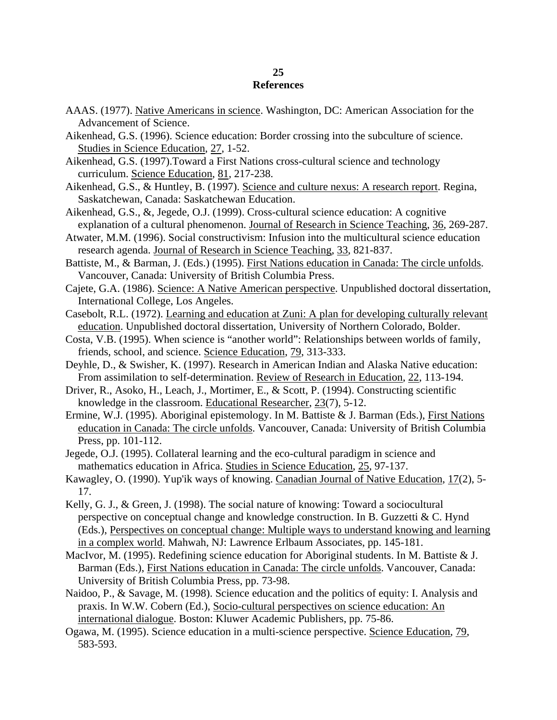# **25 References**

- AAAS. (1977). Native Americans in science. Washington, DC: American Association for the Advancement of Science.
- Aikenhead, G.S. (1996). Science education: Border crossing into the subculture of science. Studies in Science Education, 27, 1-52.
- Aikenhead, G.S. (1997).Toward a First Nations cross-cultural science and technology curriculum. Science Education, 81, 217-238.
- Aikenhead, G.S., & Huntley, B. (1997). Science and culture nexus: A research report. Regina, Saskatchewan, Canada: Saskatchewan Education.
- Aikenhead, G.S., &, Jegede, O.J. (1999). Cross-cultural science education: A cognitive explanation of a cultural phenomenon. Journal of Research in Science Teaching, 36, 269-287.
- Atwater, M.M. (1996). Social constructivism: Infusion into the multicultural science education research agenda. Journal of Research in Science Teaching, 33, 821-837.
- Battiste, M., & Barman, J. (Eds.) (1995). First Nations education in Canada: The circle unfolds. Vancouver, Canada: University of British Columbia Press.
- Cajete, G.A. (1986). Science: A Native American perspective. Unpublished doctoral dissertation, International College, Los Angeles.
- Casebolt, R.L. (1972). Learning and education at Zuni: A plan for developing culturally relevant education. Unpublished doctoral dissertation, University of Northern Colorado, Bolder.
- Costa, V.B. (1995). When science is "another world": Relationships between worlds of family, friends, school, and science. Science Education, 79, 313-333.
- Deyhle, D., & Swisher, K. (1997). Research in American Indian and Alaska Native education: From assimilation to self-determination. Review of Research in Education, 22, 113-194.
- Driver, R., Asoko, H., Leach, J., Mortimer, E., & Scott, P. (1994). Constructing scientific knowledge in the classroom. Educational Researcher, 23(7), 5-12.
- Ermine, W.J. (1995). Aboriginal epistemology. In M. Battiste & J. Barman (Eds.), First Nations education in Canada: The circle unfolds. Vancouver, Canada: University of British Columbia Press, pp. 101-112.
- Jegede, O.J. (1995). Collateral learning and the eco-cultural paradigm in science and mathematics education in Africa. Studies in Science Education, 25, 97-137.
- Kawagley, O. (1990). Yup'ik ways of knowing. Canadian Journal of Native Education, 17(2), 5- 17.
- Kelly, G. J., & Green, J. (1998). The social nature of knowing: Toward a sociocultural perspective on conceptual change and knowledge construction. In B. Guzzetti & C. Hynd (Eds.), Perspectives on conceptual change: Multiple ways to understand knowing and learning in a complex world. Mahwah, NJ: Lawrence Erlbaum Associates, pp. 145-181.
- MacIvor, M. (1995). Redefining science education for Aboriginal students. In M. Battiste & J. Barman (Eds.), First Nations education in Canada: The circle unfolds. Vancouver, Canada: University of British Columbia Press, pp. 73-98.
- Naidoo, P., & Savage, M. (1998). Science education and the politics of equity: I. Analysis and praxis. In W.W. Cobern (Ed.), Socio-cultural perspectives on science education: An international dialogue. Boston: Kluwer Academic Publishers, pp. 75-86.
- Ogawa, M. (1995). Science education in a multi-science perspective. Science Education, 79, 583-593.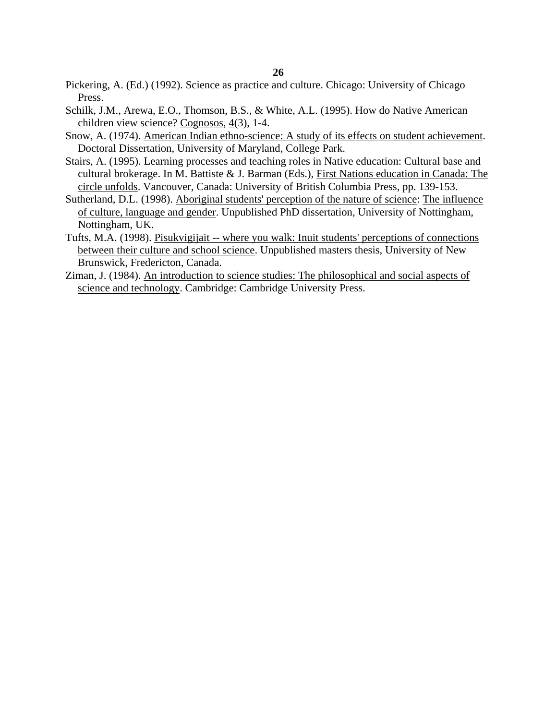- Pickering, A. (Ed.) (1992). Science as practice and culture. Chicago: University of Chicago Press.
- Schilk, J.M., Arewa, E.O., Thomson, B.S., & White, A.L. (1995). How do Native American children view science? Cognosos, 4(3), 1-4.
- Snow, A. (1974). American Indian ethno-science: A study of its effects on student achievement. Doctoral Dissertation, University of Maryland, College Park.
- Stairs, A. (1995). Learning processes and teaching roles in Native education: Cultural base and cultural brokerage. In M. Battiste & J. Barman (Eds.), First Nations education in Canada: The circle unfolds. Vancouver, Canada: University of British Columbia Press, pp. 139-153.
- Sutherland, D.L. (1998). Aboriginal students' perception of the nature of science: The influence of culture, language and gender. Unpublished PhD dissertation, University of Nottingham, Nottingham, UK.
- Tufts, M.A. (1998). Pisukvigijait -- where you walk: Inuit students' perceptions of connections between their culture and school science. Unpublished masters thesis, University of New Brunswick, Fredericton, Canada.
- Ziman, J. (1984). An introduction to science studies: The philosophical and social aspects of science and technology. Cambridge: Cambridge University Press.